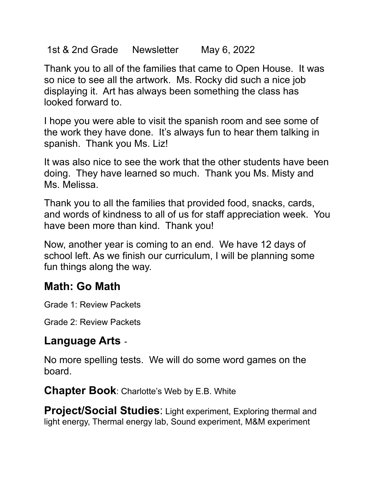1st & 2nd Grade Newsletter May 6, 2022

Thank you to all of the families that came to Open House. It was so nice to see all the artwork. Ms. Rocky did such a nice job displaying it. Art has always been something the class has looked forward to.

I hope you were able to visit the spanish room and see some of the work they have done. It's always fun to hear them talking in spanish. Thank you Ms. Liz!

It was also nice to see the work that the other students have been doing. They have learned so much. Thank you Ms. Misty and Ms. Melissa.

Thank you to all the families that provided food, snacks, cards, and words of kindness to all of us for staff appreciation week. You have been more than kind. Thank you!

Now, another year is coming to an end. We have 12 days of school left. As we finish our curriculum, I will be planning some fun things along the way.

## **Math: Go Math**

Grade 1: Review Packets

Grade 2: Review Packets

## **Language Arts** -

No more spelling tests. We will do some word games on the board.

**Chapter Book**: Charlotte's Web by E.B. White

**Project/Social Studies**: Light experiment, Exploring thermal and light energy, Thermal energy lab, Sound experiment, M&M experiment